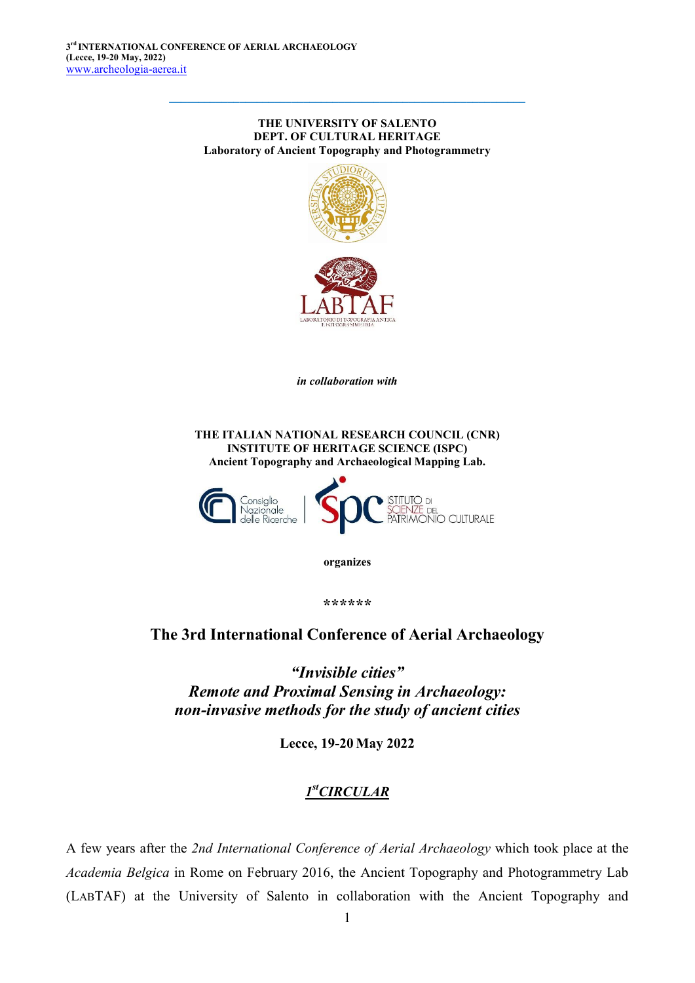#### THE UNIVERSITY OF SALENTO DEPT. OF CULTURAL HERITAGE Laboratory of Ancient Topography and Photogrammetry

 $\_$  , and the set of the set of the set of the set of the set of the set of the set of the set of the set of the set of the set of the set of the set of the set of the set of the set of the set of the set of the set of th



*in collaboration with*

THE ITALIAN NATIONAL RESEARCH COUNCIL (CNR) INSTITUTE OF HERITAGE SCIENCE (ISPC) Ancient Topography and Archaeological Mapping Lab.



organizes

\*\*\*\*\*\*

# The 3rd International Conference of Aerial Archaeology

*"Invisible cities" Remote and Proximal Sensing in Archaeology: non-invasive methods for the study of ancient cities*

Lecce, 19-20 May 2022

# *1stCIRCULAR*

A few years after the *2nd International Conference of Aerial Archaeology* which took place at the *Academia Belgica* in Rome on February 2016, the Ancient Topography and Photogrammetry Lab (LABTAF) at the University of Salento in collaboration with the Ancient Topography and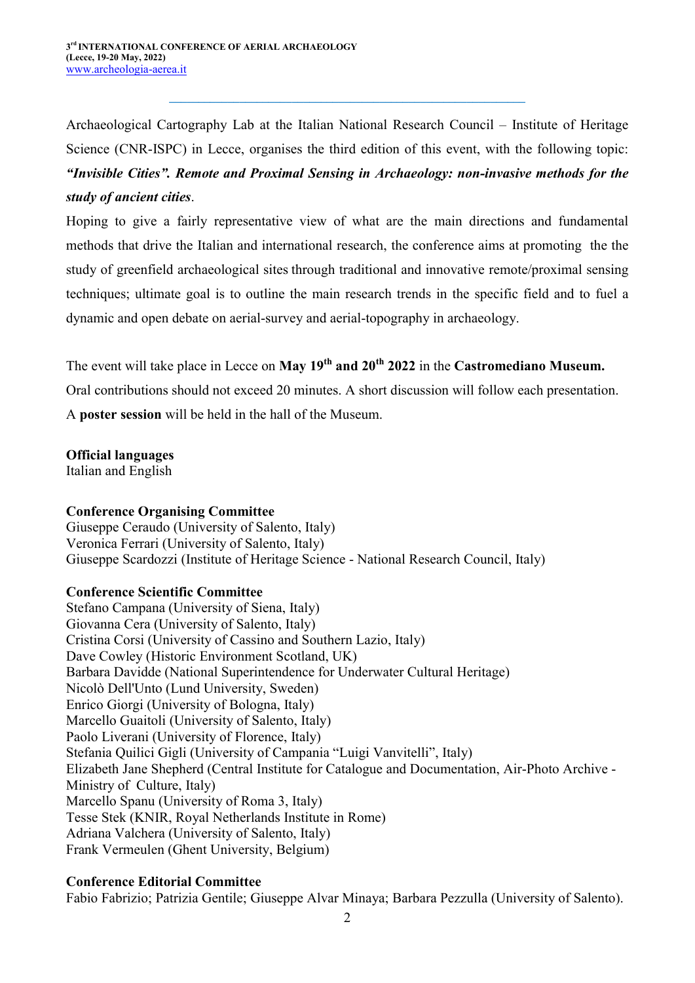Archaeological Cartography Lab at the Italian National Research Council – Institute of Heritage Science (CNR-ISPC) in Lecce, organises the third edition of this event, with the following topic: *"Invisible Cities". Remote and Proximal Sensing in Archaeology: non-invasive methods for the study of ancient cities*.

 $\_$  , and the set of the set of the set of the set of the set of the set of the set of the set of the set of the set of the set of the set of the set of the set of the set of the set of the set of the set of the set of th

Hoping to give a fairly representative view of what are the main directions and fundamental methods that drive the Italian and international research, the conference aims at promoting the the study of greenfield archaeological sites through traditional and innovative remote/proximal sensing techniques; ultimate goal is to outline the main research trends in the specific field and to fuel a dynamic and open debate on aerial-survey and aerial-topography in archaeology.

The event will take place in Lecce on May 19<sup>th</sup> and 20<sup>th</sup> 2022 in the Castromediano Museum.

Oral contributions should not exceed 20 minutes. A short discussion will follow each presentation.

A poster session will be held in the hall of the Museum.

#### Official languages

Italian and English

#### Conference Organising Committee

Giuseppe Ceraudo (University of Salento, Italy) Veronica Ferrari (University of Salento, Italy) Giuseppe Scardozzi (Institute of Heritage Science - National Research Council, Italy)

### Conference Scientific Committee

Stefano Campana (University of Siena, Italy) Giovanna Cera (University of Salento, Italy) Cristina Corsi (University of Cassino and Southern Lazio, Italy) Dave Cowley (Historic Environment Scotland, UK) Barbara Davidde (National Superintendence for Underwater Cultural Heritage) Nicolò Dell'Unto (Lund University, Sweden) Enrico Giorgi (University of Bologna, Italy) Marcello Guaitoli (University of Salento, Italy) Paolo Liverani (University of Florence, Italy) Stefania Quilici Gigli (University of Campania "Luigi Vanvitelli", Italy) Elizabeth Jane Shepherd (Central Institute for Catalogue and Documentation, Air-Photo Archive - Ministry of Culture, Italy) Marcello Spanu (University of Roma 3, Italy) Tesse Stek (KNIR, Royal Netherlands Institute in Rome) Adriana Valchera (University of Salento, Italy) Frank Vermeulen (Ghent University, Belgium)

### Conference Editorial Committee

Fabio Fabrizio; Patrizia Gentile; Giuseppe Alvar Minaya; Barbara Pezzulla (University of Salento).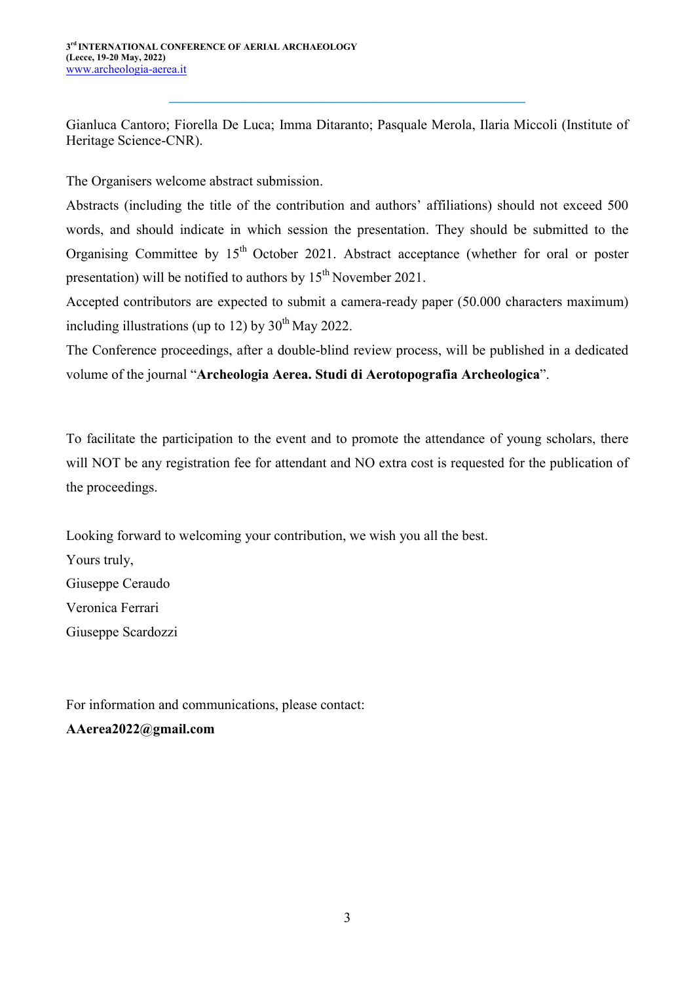Gianluca Cantoro; Fiorella De Luca; Imma Ditaranto; Pasquale Merola, Ilaria Miccoli (Institute of Heritage Science-CNR).

 $\_$  , and the set of the set of the set of the set of the set of the set of the set of the set of the set of the set of the set of the set of the set of the set of the set of the set of the set of the set of the set of th

The Organisers welcome abstract submission.

Abstracts (including the title of the contribution and authors' affiliations) should not exceed 500 words, and should indicate in which session the presentation. They should be submitted to the Organising Committee by  $15<sup>th</sup>$  October 2021. Abstract acceptance (whether for oral or poster presentation) will be notified to authors by 15<sup>th</sup> November 2021.

Accepted contributors are expected to submit a camera-ready paper (50.000 characters maximum) including illustrations (up to 12) by  $30<sup>th</sup>$  May 2022.

The Conference proceedings, after a double-blind review process, will be published in a dedicated volume of the journal "Archeologia Aerea. Studi di Aerotopografia Archeologica".

To facilitate the participation to the event and to promote the attendance of young scholars, there will NOT be any registration fee for attendant and NO extra cost is requested for the publication of the proceedings.

Looking forward to welcoming your contribution, we wish you all the best. Yours truly, Giuseppe Ceraudo Veronica Ferrari Giuseppe Scardozzi

For information and communications, please contact: AAerea2022@gmail.com